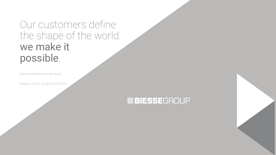Our customers define the shape of the world. we make it possible.

phone conference call recap

Pesaro. 4 p.m. August 3rd 2016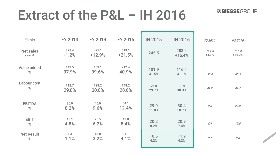# Extract of the P&L – IH 2016

| €/mln                      | <b>FY 2013</b>   | <b>FY 2014</b>  | FY 2015           | <b>IH 2015</b> | <b>IH 2016</b>    | IQ 2016          | <b>IIQ 2016</b>   |
|----------------------------|------------------|-----------------|-------------------|----------------|-------------------|------------------|-------------------|
| <b>Net sales</b><br>year-1 | 378.4<br>$-1.2%$ | 427.1<br>+12.9% | 519.1<br>$+21.5%$ | 245.5          | 283.4<br>$+15.4%$ | 117.6<br>$+4.3%$ | 165.8<br>$+24.9%$ |
| <b>Value added</b><br>$\%$ | 143.5<br>37.9%   | 169.1<br>39.6%  | 212.4<br>40.9%    | 101.9<br>41.5% | 116.4<br>41.1%    | 50.9             | 65.5              |
| Labour cost<br>$\%$        | 112.7<br>29.8%   | 128.2<br>30.0%  | 148.2<br>28.6%    | 73.0<br>29.7%  | 85.9<br>30.3%     | 41.2             | 44.7              |
| <b>EBITDA</b><br>$\%$      | 30.9<br>8.2%     | 40.9<br>9.6%    | 64.1<br>12.4%     | 29.0<br>11.8%  | 30.4<br>10.7%     | 9.6              | 20.8              |
| <b>EBIT</b><br>$\%$        | 18.1<br>4.8%     | 26.5<br>6.2%    | 43.8<br>8.4%      | 20.2<br>8.2%   | 20.9<br>7.4%      | 5.4              | 15.5              |
| <b>Net Result</b><br>%     | 4.3<br>1.1%      | 13.8<br>3.2%    | 21.1<br>4.1%      | 10.5<br>4.3%   | 11.9<br>4.2%      | 3.1              | $8.8\,$           |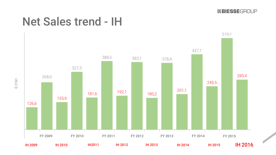## Net Sales trend - IH

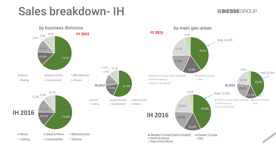## Sales breakdown- IH

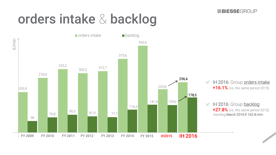# orders intake & backlog

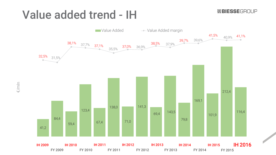# Value added trend - IH

ZBIESSEGROUP



€/mln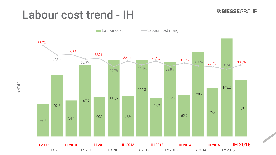# Labour cost trend - IH

ZBIESSEGROUP



€/mln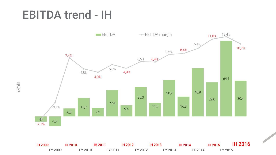## EBITDA trend - IH



IH 2009 IH 2010 IH 2011 IH 2012 IH 2013 IH 2014 IH 2015 IH 2016 FY 2009 FY 2010 FY 2011 FY 2012 FY 2013 FY 2014 FY 2015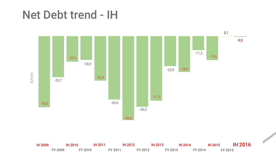## Net Debt trend - IH



IH 2009 IH 2010 IH 2011 IH 2012 IH 2013 IH 2014 IH 2015 IH 2016 FY 2009 FY 2010 FY 2011 FY 2012 FY 2013 FY 2014 FY 2015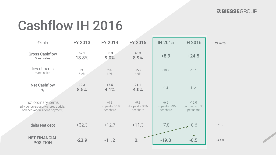# Cashflow IH 2016

| $\epsilon$ /mln                                                                             | <b>FY 2013</b>  | <b>FY 2014</b>                                   | <b>FY 2015</b>                                   | <b>IH 2015</b>                                   | <b>IH 2016</b>                                    | IQ 2016 |
|---------------------------------------------------------------------------------------------|-----------------|--------------------------------------------------|--------------------------------------------------|--------------------------------------------------|---------------------------------------------------|---------|
| <b>Gross Cashflow</b><br>% net sales                                                        | 52.1<br>13.8%   | 38.3<br>9.0%                                     | 46.3<br>8.9%                                     | $+8.9$                                           | $+24.5$                                           |         |
| Investments<br>% net sales                                                                  | $-19.9$<br>5.2% | $-20.8$<br>4.9%                                  | $-25.2$<br>4.9%                                  | $-10.5$                                          | $-13.1$                                           |         |
| <b>Net Cashflow</b><br>%                                                                    | 32.3<br>8.5%    | 17.5<br>4.1%                                     | 21.1<br>4.0%                                     | $-1.6$                                           | 11.4                                              |         |
| not ordinary items<br>(dividends/treasury shares activity<br>balance /acquisitions payment) |                 | $-4.8$<br>div. paid $\epsilon$ 0.18<br>per share | $-9.8$<br>div. paid $\epsilon$ 0.36<br>per share | $-6.2$<br>div. paid $\epsilon$ 0.36<br>per share | $-12.0$<br>div. paid $\epsilon$ 0.36<br>per share |         |
| delta Net debt                                                                              | $+32.3$         | $+12.7$                                          | $+11.3$                                          | $-7.8$                                           | $\rightarrow$ -0.6                                | $-11.9$ |
| <b>NET FINANCIAL</b><br><b>POSITION</b>                                                     | $-23.9$         | $-11.2$                                          | 0.1                                              | $-19.0$                                          | $-0.5$                                            | $-11.8$ |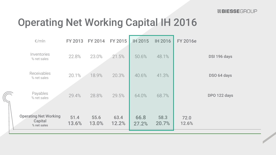## Operating Net Working Capital IH 2016

| $\epsilon$ /mln                                        | <b>FY 2013</b> | <b>FY 2014</b> | FY 2015       | IH 2015       | <b>IH 2016</b> | <b>FY 2016e</b> |              |
|--------------------------------------------------------|----------------|----------------|---------------|---------------|----------------|-----------------|--------------|
| <b>Inventories</b><br>% net sales                      | 22.8%          | 23.0%          | 21.5%         | 50.6%         | 48.1%          |                 | DSI 196 days |
| Receivables<br>% net sales                             | 20.1%          | 18.9%          | 20.3%         | 40.6%         | 41.3%          |                 | DSO 64 days  |
| Payables<br>% net sales                                | 29.4%          | 28.8%          | 29.5%         | 64.0%         | 68.7%          |                 | DPO 122 days |
| <b>Operating Net Working</b><br>Capital<br>% net sales | 51.4<br>13.6%  | 55.6<br>13.0%  | 63.4<br>12.2% | 66.8<br>27.2% | 58.3<br>20.7%  | 72.0<br>12.6%   |              |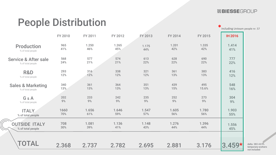ZBIESSEGROUP

# People Distribution **\***<u>including Uniteam</u> people nr. 57

 $\sqrt{2}$ 

|                                 | FY 2010 | FY 2011 | FY 2012 | <b>FY 2013</b> | FY 2014 | FY 2015 | <b>IH 2016</b> |                                                     |
|---------------------------------|---------|---------|---------|----------------|---------|---------|----------------|-----------------------------------------------------|
| <b>Production</b>               | 965     | 1.250   | 1.265   | 1.175          | 1.201   | 1.335   | 1.414          |                                                     |
| % of total people               | 41%     | 46%     | 45%     | 44%            | 42%     | 42%     | 41%            |                                                     |
| <b>Service &amp; After sale</b> | 568     | 577     | 574     | 613            | 628     | 690     | 777            |                                                     |
| % of total people               | 24%     | 21%     | 21%     | 22%            | 22%     | 22%     | 22%            |                                                     |
| R&D                             | 293     | 316     | 338     | 321            | 361     | 383     | 416            |                                                     |
| % of total people               | 12%     | 12%     | 12%     | 12%            | 13%     | 13%     | 12%            |                                                     |
| <b>Sales &amp; Marketing</b>    | 340     | 361     | 364     | 351            | 439     | 495     | 548            |                                                     |
| % of total people               | 13%     | 13%     | 13%     | 13%            | 15%     | 15.6%   | 16%            |                                                     |
| G&A                             | 202     | 233     | 242     | 235            | 252     | 273     | 304            |                                                     |
| % of total people               | 9%      | 9%      | 9%      | 9%             | 9%      | 9%      | 9%             |                                                     |
| <b>ITALY</b>                    | 1660    | 1.656   | 1.646   | 1.547          | 1.605   | 1.780   | 1.903          |                                                     |
| % of total people               | 70%     | 61%     | 59%     | 57%            | 56%     | 56%     | 55%            |                                                     |
| <b>OUTSIDE ITALY</b>            | 708     | 1.081   | 1.136   | 1.148          | 1.276   | 1.396   | 1.556          |                                                     |
| % of total people               | 30%     | 39%     | 41%     | 43%            | 44%     | 44%     | 45%            |                                                     |
| <b>TOTAL</b>                    | 2.368   | 2.737   | 2.782   | 2.695          | 2.881   | 3.176   | $3.459*$       | delta 283+8.9%<br>temporary workers<br>not included |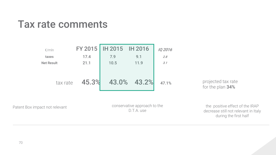## Tax rate comments



Patent Box impact not relevant conservative approach to the D.T.A. use

the positive effect of the IRAP decrease still not relevant in Italy during the first half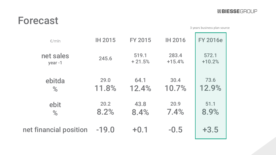### Forecast

3 years business plan source

| $\epsilon$ /mln        | <b>IH 2015</b> | <b>FY 2015</b> | <b>IH 2016</b> | <b>FY 2016e</b> |
|------------------------|----------------|----------------|----------------|-----------------|
| net sales              | 245.6          | 519.1          | 283.4          | 572.1           |
| year-1                 |                | $+21.5%$       | $+15.4%$       | $+10.2%$        |
| ebitda                 | 29.0           | 64.1           | 30.4           | 73.6            |
| %                      | 11.8%          | 12.4%          | 10.7%          | 12.9%           |
| ebit                   | 20.2           | 43.8           | 20.9           | 51.1            |
| %                      | 8.2%           | 8.4%           | 7.4%           | 8.9%            |
| net financial position | $-19.0$        | $+0.1$         | $-0.5$         | $+3.5$          |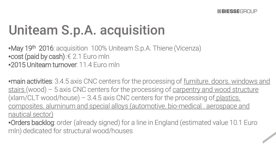# Uniteam S.p.A. acquisition

•May 19<sup>th</sup> 2016: acquisition 100% Uniteam S.p.A. Thiene (Vicenza) •cost (paid by cash) :€ 2.1 Euro mln •2015 Uniteam turnover: 11.4 Euro mln

**•main activities**: 3.4.5 axis CNC centers for the processing of furniture. doors. windows and stairs (wood) - 5 axis CNC centers for the processing of carpentry and wood structure (xlam/CLT wood/house) – 3.4.5 axis CNC centers for the processing of plastics. composites. aluminum and special alloys (automotive. bio-medical . aerospace and nautical sector)

•**Orders backlog**: order (already signed) for a line in England (estimated value 10.1 Euro<br>mln) dedicated for structural wood/houses mln) dedicated for structural wood/houses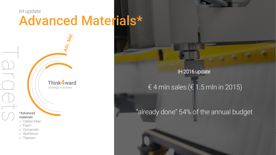### IH update Advanced Materials\*

ldv. Mat.

*Strategy in actions* Think4ward

materials

- $\mathbb Z$  Carbon Fiber
- $\vee$  Foam

Targets

- $\mathbb Z$  Composite
- $\mathbb Z$  Aluminium
- $\vee$  Titanium

#### IH 2016 update:

#### $\overline{f}$  4 mln sales ( $\overline{f}$  1.5 mln in 2015)

### \*Advanced "already done" 54% of the annual budget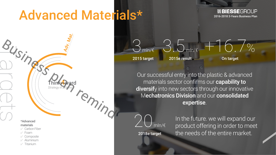# Advanced Materials\*

remind

*Strategy in actions*

Think4ward

**ZBIESSEGROUP** 2016-2018 3-Years Business Plan

#### \*Advanced materials

- Carbon Fiber
- Foam

Targets

- $\vee$  Composite
- Aluminium
- $\nabla$  Titanium

2015e result

3.5 mln/€

On target

+16.7%

Our successful entry into the plastic & advanced materials sector confirms our capability to diversify into new sectors through our innovative Mechatronics Division and our consolidated expertise.

 $min/\varepsilon$ 2018e target

) mln/ $\epsilon$ 

2015 target

In the future. we will expand our product offering in order to meet the needs of the entire market.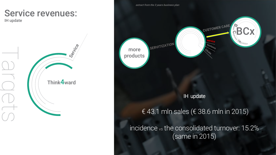### Service revenues:

IH update





IH update

#### € 43.1 mln sales (€ 38.6 mln in 2015)

incidence vs the consolidated turnover: 15.2% (same in 2015)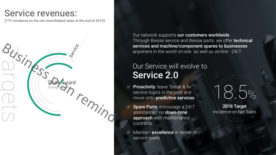### Service revenues:

(17% incidence on the net consolidated sales at the end of 2015)



Our network supports our customers worldwide. Through Biesse service and Biesse parts. we offer technical services and machine/component spares to businesses anywhere in the world on-site. as well as on-line - 24/7.

### Our Service will evolve to Service 2.0

- $\leq$  Proactivity: leave "break & fix" service logics in the past and move onto predictive services
- $\leq$  Spare Parts: encourage a 24/7 assistance / no down-time approach with maintenance contracts
- Maintain **excellence** in terms of service levels

18.5%

2018 Target incidence on Net Sales